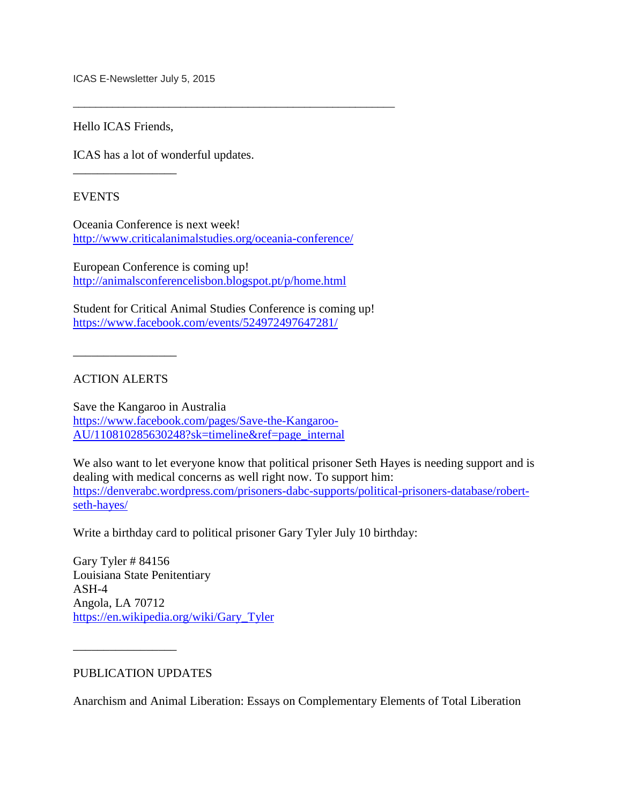ICAS E-Newsletter July 5, 2015

Hello ICAS Friends,

\_\_\_\_\_\_\_\_\_\_\_\_\_\_\_\_\_

ICAS has a lot of wonderful updates.

EVENTS

Oceania Conference is next week! <http://www.criticalanimalstudies.org/oceania-conference/>

\_\_\_\_\_\_\_\_\_\_\_\_\_\_\_\_\_\_\_\_\_\_\_\_\_\_\_\_\_\_\_\_\_\_\_\_\_\_\_\_\_\_\_\_\_\_\_\_\_\_\_\_\_\_\_\_\_

European Conference is coming up! <http://animalsconferencelisbon.blogspot.pt/p/home.html>

Student for Critical Animal Studies Conference is coming up! <https://www.facebook.com/events/524972497647281/>

\_\_\_\_\_\_\_\_\_\_\_\_\_\_\_\_\_

## ACTION ALERTS

Save the Kangaroo in Australia [https://www.facebook.com/pages/Save-the-Kangaroo-](https://www.facebook.com/pages/Save-the-Kangaroo-AU/110810285630248?sk=timeline&ref=page_internal)[AU/110810285630248?sk=timeline&ref=page\\_internal](https://www.facebook.com/pages/Save-the-Kangaroo-AU/110810285630248?sk=timeline&ref=page_internal)

We also want to let everyone know that political prisoner Seth Hayes is needing support and is dealing with medical concerns as well right now. To support him: [https://denverabc.wordpress.com/prisoners-dabc-supports/political-prisoners-database/robert](https://denverabc.wordpress.com/prisoners-dabc-supports/political-prisoners-database/robert-seth-hayes/)[seth-hayes/](https://denverabc.wordpress.com/prisoners-dabc-supports/political-prisoners-database/robert-seth-hayes/)

Write a birthday card to political prisoner Gary Tyler July 10 birthday:

Gary Tyler # 84156 Louisiana State Penitentiary ASH-4 Angola, LA 70712 [https://en.wikipedia.org/wiki/Gary\\_Tyler](https://en.wikipedia.org/wiki/Gary_Tyler)

PUBLICATION UPDATES

\_\_\_\_\_\_\_\_\_\_\_\_\_\_\_\_\_

Anarchism and Animal Liberation: Essays on Complementary Elements of Total Liberation